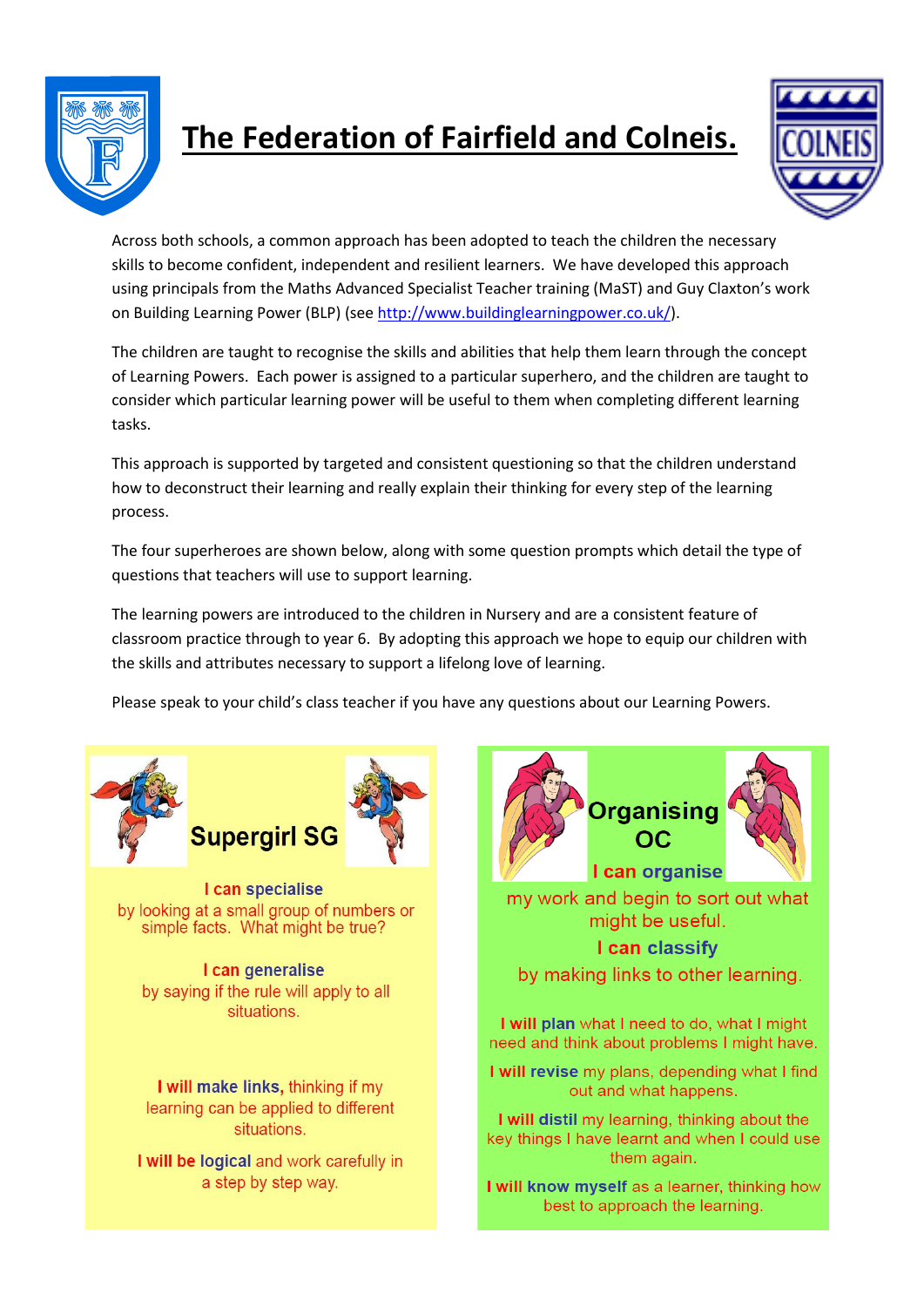

## **The Federation of Fairfield and Colneis.**



Across both schools, a common approach has been adopted to teach the children the necessary skills to become confident, independent and resilient learners. We have developed this approach using principals from the Maths Advanced Specialist Teacher training (MaST) and Guy Claxton's work on Building Learning Power (BLP) (see [http://www.buildinglearningpower.co.uk/\)](http://www.buildinglearningpower.co.uk/).

The children are taught to recognise the skills and abilities that help them learn through the concept of Learning Powers. Each power is assigned to a particular superhero, and the children are taught to consider which particular learning power will be useful to them when completing different learning tasks.

This approach is supported by targeted and consistent questioning so that the children understand how to deconstruct their learning and really explain their thinking for every step of the learning process.

The four superheroes are shown below, along with some question prompts which detail the type of questions that teachers will use to support learning.

The learning powers are introduced to the children in Nursery and are a consistent feature of classroom practice through to year 6. By adopting this approach we hope to equip our children with the skills and attributes necessary to support a lifelong love of learning.

Please speak to your child's class teacher if you have any questions about our Learning Powers.





I can specialise by looking at a small group of numbers or simple facts. What might be true?

I can generalise by saying if the rule will apply to all situations.

I will make links, thinking if my learning can be applied to different situations.

I will be logical and work carefully in a step by step way.



my work and begin to sort out what might be useful.

## I can classify

by making links to other learning.

I will plan what I need to do, what I might need and think about problems I might have.

I will revise my plans, depending what I find out and what happens.

I will distil my learning, thinking about the key things I have learnt and when I could use them again.

I will know myself as a learner, thinking how best to approach the learning.